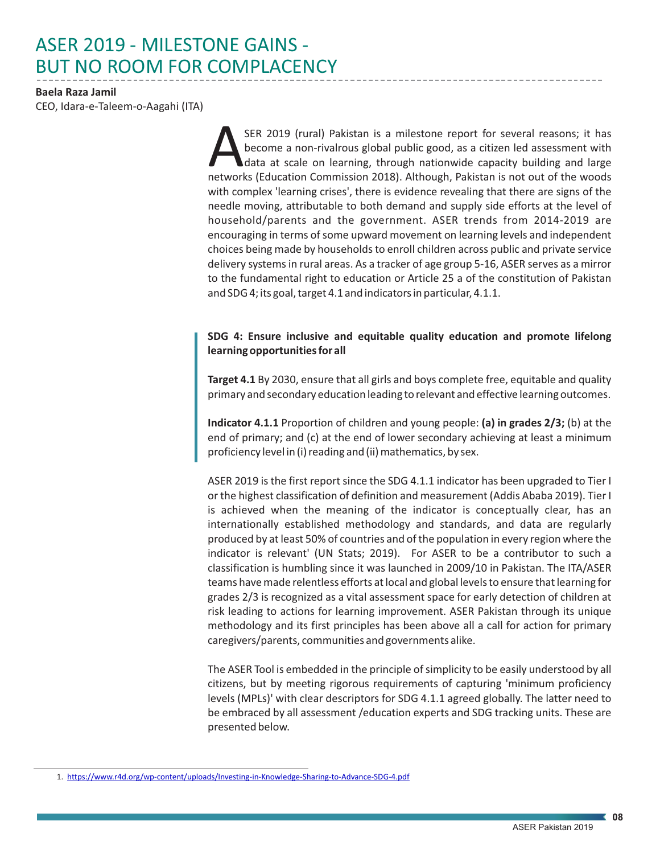# ASER 2019 - MILESTONE GAINS - BUT NO ROOM FOR COMPLACENCY

## **Baela Raza Jamil**

CEO, Idara-e-Taleem-o-Aagahi (ITA)

SER 2019 (rural) Pakistan is a milestone report for several reasons; it has<br>become a non-rivalrous global public good, as a citizen led assessment with<br>data at scale on learning, through nationwide capacity building and la data at scale on learning, through nationwide capacity building and large with complex 'learning crises', there is evidence revealing that there are signs of the needle moving, attributable to both demand and supply side efforts at the level of household/parents and the government. ASER trends from 2014-2019 are encouraging in terms of some upward movement on learning levels and independent choices being made by households to enroll children across public and private service delivery systems in rural areas. As a tracker of age group 5-16, ASER serves as a mirror to the fundamental right to education or Article 25 a of the constitution of Pakistan and SDG 4; its goal, target 4.1 and indicators in particular, 4.1.1.

# **SDG 4: Ensure inclusive and equitable quality education and promote lifelong learning opportunities for all**

**Target 4.1** By 2030, ensure that all girls and boys complete free, equitable and quality primary and secondary education leading to relevant and effective learning outcomes.

**Indicator 4.1.1** Proportion of children and young people: **(a) in grades 2/3;** (b) at the end of primary; and (c) at the end of lower secondary achieving at least a minimum proficiency level in (i) reading and (ii) mathematics, by sex.

ASER 2019 is the first report since the SDG 4.1.1 indicator has been upgraded to Tier I or the highest classification of definition and measurement (Addis Ababa 2019). Tier I is achieved when the meaning of the indicator is conceptually clear, has an internationally established methodology and standards, and data are regularly produced by at least 50% of countries and of the population in every region where the indicator is relevant' (UN Stats; 2019). For ASER to be a contributor to such a classification is humbling since it was launched in 2009/10 in Pakistan. The ITA/ASER teams have made relentless efforts at local and global levels to ensure that learning for grades 2/3 is recognized as a vital assessment space for early detection of children at risk leading to actions for learning improvement. ASER Pakistan through its unique methodology and its first principles has been above all a call for action for primary caregivers/parents, communities and governments alike.

The ASER Tool is embedded in the principle of simplicity to be easily understood by all citizens, but by meeting rigorous requirements of capturing 'minimum proficiency levels (MPLs)' with clear descriptors for SDG 4.1.1 agreed globally. The latter need to be embraced by all assessment /education experts and SDG tracking units. These are presented below.

<sup>1.</sup> <https://www.r4d.org/wp-content/uploads/Investing-in-Knowledge-Sharing-to-Advance-SDG-4.pdf>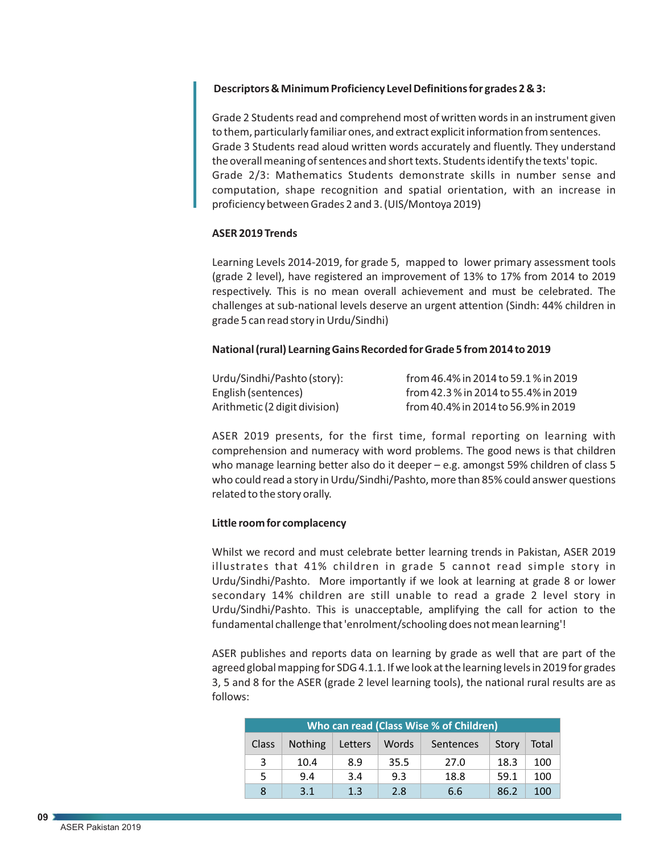## **Descriptors & Minimum Proficiency Level Definitions for grades 2 & 3:**

Grade 2 Students read and comprehend most of written words in an instrument given to them, particularly familiar ones, and extract explicit information from sentences. Grade 3 Students read aloud written words accurately and fluently. They understand the overall meaning of sentences and short texts. Students identify the texts' topic. Grade 2/3: Mathematics Students demonstrate skills in number sense and computation, shape recognition and spatial orientation, with an increase in proficiency between Grades 2 and 3. (UIS/Montoya 2019)

#### **ASER 2019 Trends**

Learning Levels 2014-2019, for grade 5, mapped to lower primary assessment tools (grade 2 level), have registered an improvement of 13% to 17% from 2014 to 2019 respectively. This is no mean overall achievement and must be celebrated. The challenges at sub-national levels deserve an urgent attention (Sindh: 44% children in grade 5 can read story in Urdu/Sindhi)

## **National (rural) Learning Gains Recorded for Grade 5 from 2014 to 2019**

| Urdu/Sindhi/Pashto (story):   | from 46.4% in 2014 to 59.1% in 2019  |
|-------------------------------|--------------------------------------|
| English (sentences)           | from 42.3 % in 2014 to 55.4% in 2019 |
| Arithmetic (2 digit division) | from 40.4% in 2014 to 56.9% in 2019  |

ASER 2019 presents, for the first time, formal reporting on learning with comprehension and numeracy with word problems. The good news is that children who manage learning better also do it deeper – e.g. amongst 59% children of class 5 who could read a story in Urdu/Sindhi/Pashto, more than 85% could answer questions related to the story orally.

## **Little room for complacency**

Whilst we record and must celebrate better learning trends in Pakistan, ASER 2019 illustrates that 41% children in grade 5 cannot read simple story in Urdu/Sindhi/Pashto. More importantly if we look at learning at grade 8 or lower secondary 14% children are still unable to read a grade 2 level story in Urdu/Sindhi/Pashto. This is unacceptable, amplifying the call for action to the fundamental challenge that 'enrolment/schooling does not mean learning'!

ASER publishes and reports data on learning by grade as well that are part of the agreed global mapping for SDG 4.1.1. If we look at the learning levels in 2019 for grades 3, 5 and 8 for the ASER (grade 2 level learning tools), the national rural results are as follows:

| Who can read (Class Wise % of Children) |                |         |       |                  |       |       |  |
|-----------------------------------------|----------------|---------|-------|------------------|-------|-------|--|
| Class                                   | <b>Nothing</b> | Letters | Words | <b>Sentences</b> | Story | Total |  |
| 3                                       | 10.4           | 8.9     | 35.5  | 27.0             | 18.3  | 100   |  |
| 5                                       | 9.4            | 3.4     | 9.3   | 18.8             | 59.1  | 100   |  |
| 8                                       | 3.1            | 1.3     | 2.8   | 6.6              | 86.2  | 100   |  |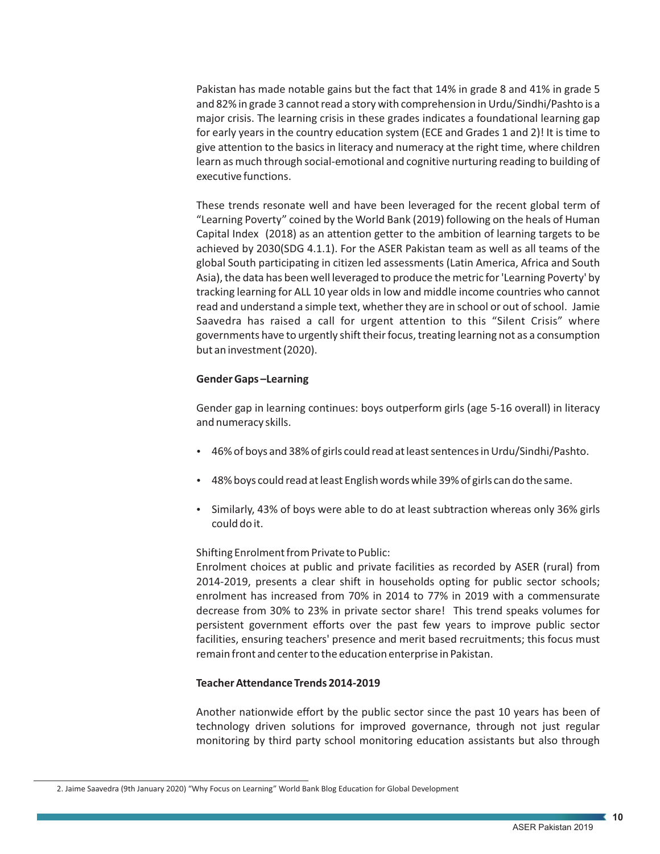Pakistan has made notable gains but the fact that 14% in grade 8 and 41% in grade 5 and 82% in grade 3 cannot read a story with comprehension in Urdu/Sindhi/Pashto is a major crisis. The learning crisis in these grades indicates a foundational learning gap for early years in the country education system (ECE and Grades 1 and 2)! It is time to give attention to the basics in literacy and numeracy at the right time, where children learn as much through social-emotional and cognitive nurturing reading to building of executive functions.

These trends resonate well and have been leveraged for the recent global term of "Learning Poverty" coined by the World Bank (2019) following on the heals of Human Capital Index (2018) as an attention getter to the ambition of learning targets to be achieved by 2030(SDG 4.1.1). For the ASER Pakistan team as well as all teams of the global South participating in citizen led assessments (Latin America, Africa and South Asia), the data has been well leveraged to produce the metric for 'Learning Poverty' by tracking learning for ALL 10 year olds in low and middle income countries who cannot read and understand a simple text, whether they are in school or out of school. Jamie Saavedra has raised a call for urgent attention to this "Silent Crisis" where governments have to urgently shift their focus, treating learning not as a consumption but an investment (2020).

### **Gender Gaps –Learning**

Gender gap in learning continues: boys outperform girls (age 5-16 overall) in literacy and numeracy skills.

- $\bullet$  46% of boys and 38% of girls could read at least sentences in Urdu/Sindhi/Pashto.
- \* 48% boys could read at least English words while 39% of girls can do the same.
- Similarly, 43% of boys were able to do at least subtraction whereas only 36% girls could do it.

#### Shifting Enrolment from Private to Public:

Enrolment choices at public and private facilities as recorded by ASER (rural) from 2014-2019, presents a clear shift in households opting for public sector schools; enrolment has increased from 70% in 2014 to 77% in 2019 with a commensurate decrease from 30% to 23% in private sector share! This trend speaks volumes for persistent government efforts over the past few years to improve public sector facilities, ensuring teachers' presence and merit based recruitments; this focus must remain front and center to the education enterprise in Pakistan.

#### **Teacher Attendance Trends 2014-2019**

Another nationwide effort by the public sector since the past 10 years has been of technology driven solutions for improved governance, through not just regular monitoring by third party school monitoring education assistants but also through

<sup>2.</sup> Jaime Saavedra (9th January 2020) "Why Focus on Learning" World Bank Blog Education for Global Development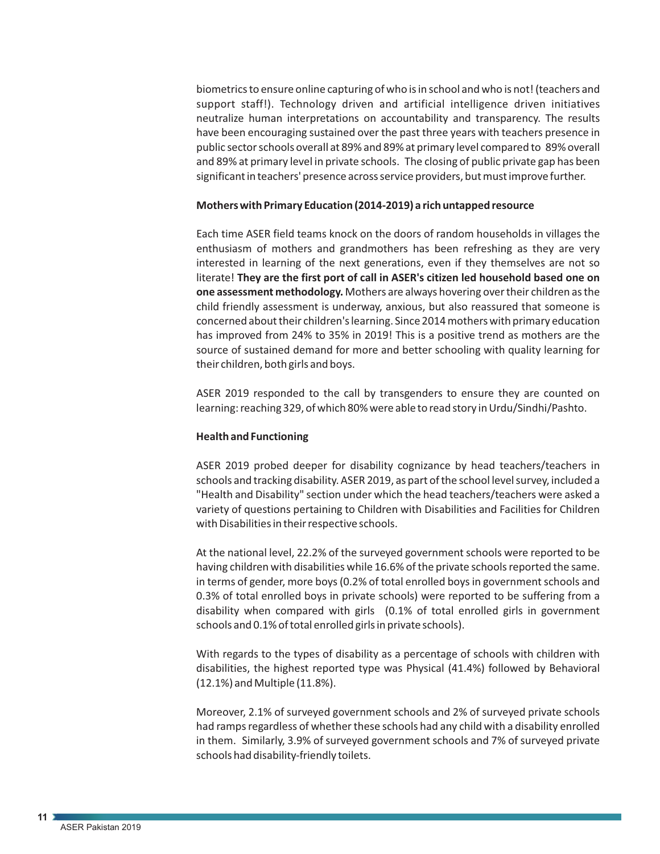biometrics to ensure online capturing of who is in school and who is not! (teachers and support staff!). Technology driven and artificial intelligence driven initiatives neutralize human interpretations on accountability and transparency. The results have been encouraging sustained over the past three years with teachers presence in public sector schools overall at 89% and 89% at primary level compared to 89% overall and 89% at primary level in private schools. The closing of public private gap has been significant in teachers' presence across service providers, but must improve further.

#### **Mothers with Primary Education (2014-2019) a rich untapped resource**

Each time ASER field teams knock on the doors of random households in villages the enthusiasm of mothers and grandmothers has been refreshing as they are very interested in learning of the next generations, even if they themselves are not so literate! **They are the first port of call in ASER's citizen led household based one on one assessment methodology.** Mothers are always hovering over their children as the child friendly assessment is underway, anxious, but also reassured that someone is concerned about their children's learning. Since 2014 mothers with primary education has improved from 24% to 35% in 2019! This is a positive trend as mothers are the source of sustained demand for more and better schooling with quality learning for their children, both girls and boys.

ASER 2019 responded to the call by transgenders to ensure they are counted on learning: reaching 329, of which 80% were able to read story in Urdu/Sindhi/Pashto.

#### **Health and Functioning**

ASER 2019 probed deeper for disability cognizance by head teachers/teachers in schools and tracking disability. ASER 2019, as part of the school level survey, included a "Health and Disability" section under which the head teachers/teachers were asked a variety of questions pertaining to Children with Disabilities and Facilities for Children with Disabilities in their respective schools.

At the national level, 22.2% of the surveyed government schools were reported to be having children with disabilities while 16.6% of the private schools reported the same. in terms of gender, more boys (0.2% of total enrolled boys in government schools and 0.3% of total enrolled boys in private schools) were reported to be suffering from a disability when compared with girls (0.1% of total enrolled girls in government schools and 0.1% of total enrolled girls in private schools).

With regards to the types of disability as a percentage of schools with children with disabilities, the highest reported type was Physical (41.4%) followed by Behavioral (12.1%) and Multiple (11.8%).

Moreover, 2.1% of surveyed government schools and 2% of surveyed private schools had ramps regardless of whether these schools had any child with a disability enrolled in them. Similarly, 3.9% of surveyed government schools and 7% of surveyed private schools had disability-friendly toilets.

**11**